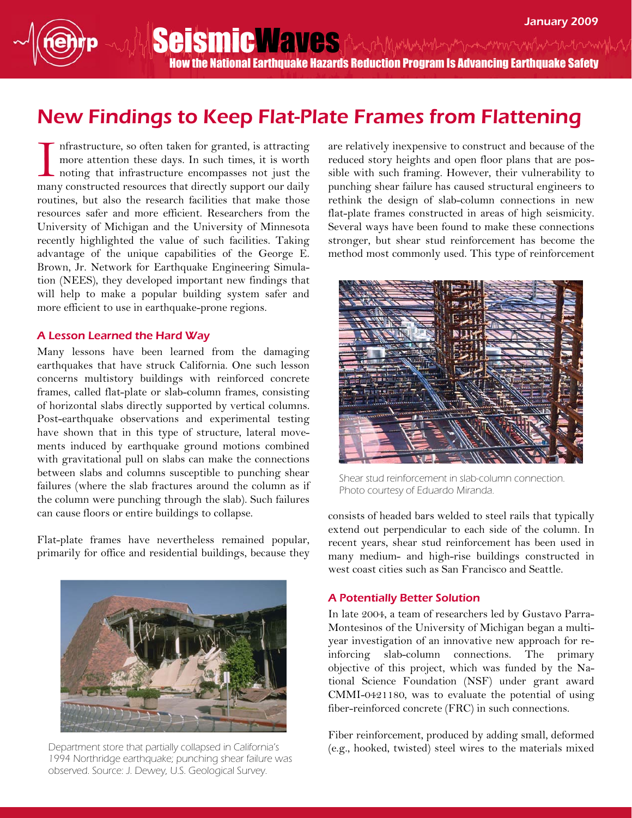How the National Earthquake Hazards Reduction Program Is Advancing Earthquake Safety

SeismicWaves And Muntur Monten and the month

## New Findings to Keep Flat-Plate Frames from Flattening

nfrastructure, so often taken for granted, is attracting more attention these days. In such times, it is worth noting that infrastructure encompasses not just the many constructed resources that directly support our daily routines, but also the research facilities that make those resources safer and more efficient. Researchers from the University of Michigan and the University of Minnesota recently highlighted the value of such facilities. Taking advantage of the unique capabilities of the George E. Brown, Jr. Network for Earthquake Engineering Simulation (NEES), they developed important new findings that will help to make a popular building system safer and more efficient to use in earthquake-prone regions. I

## A Lesson Learned the Hard Way

Many lessons have been learned from the damaging earthquakes that have struck California. One such lesson concerns multistory buildings with reinforced concrete frames, called flat-plate or slab-column frames, consisting of horizontal slabs directly supported by vertical columns. Post-earthquake observations and experimental testing have shown that in this type of structure, lateral movements induced by earthquake ground motions combined with gravitational pull on slabs can make the connections between slabs and columns susceptible to punching shear failures (where the slab fractures around the column as if the column were punching through the slab). Such failures can cause floors or entire buildings to collapse.

Flat-plate frames have nevertheless remained popular, primarily for office and residential buildings, because they



Department store that partially collapsed in California's 1994 Northridge earthquake; punching shear failure was observed. Source: J. Dewey, U.S. Geological Survey.

are relatively inexpensive to construct and because of the reduced story heights and open floor plans that are possible with such framing. However, their vulnerability to punching shear failure has caused structural engineers to rethink the design of slab-column connections in new flat-plate frames constructed in areas of high seismicity. Several ways have been found to make these connections stronger, but shear stud reinforcement has become the method most commonly used. This type of reinforcement



Shear stud reinforcement in slab-column connection. Photo courtesy of Eduardo Miranda.

consists of headed bars welded to steel rails that typically extend out perpendicular to each side of the column. In recent years, shear stud reinforcement has been used in many medium- and high-rise buildings constructed in west coast cities such as San Francisco and Seattle.

## A Potentially Better Solution

In late 2004, a team of researchers led by Gustavo Parra-Montesinos of the University of Michigan began a multiyear investigation of an innovative new approach for reinforcing slab-column connections. The primary objective of this project, which was funded by the National Science Foundation (NSF) under grant award CMMI-0421180, was to evaluate the potential of using fiber-reinforced concrete (FRC) in such connections.

Fiber reinforcement, produced by adding small, deformed (e.g., hooked, twisted) steel wires to the materials mixed